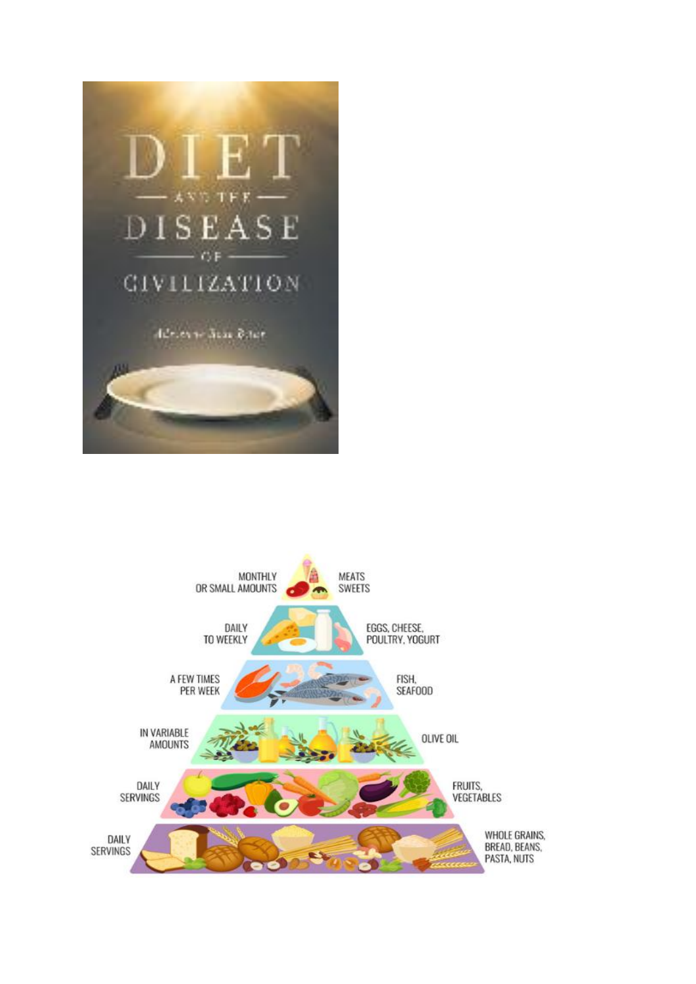

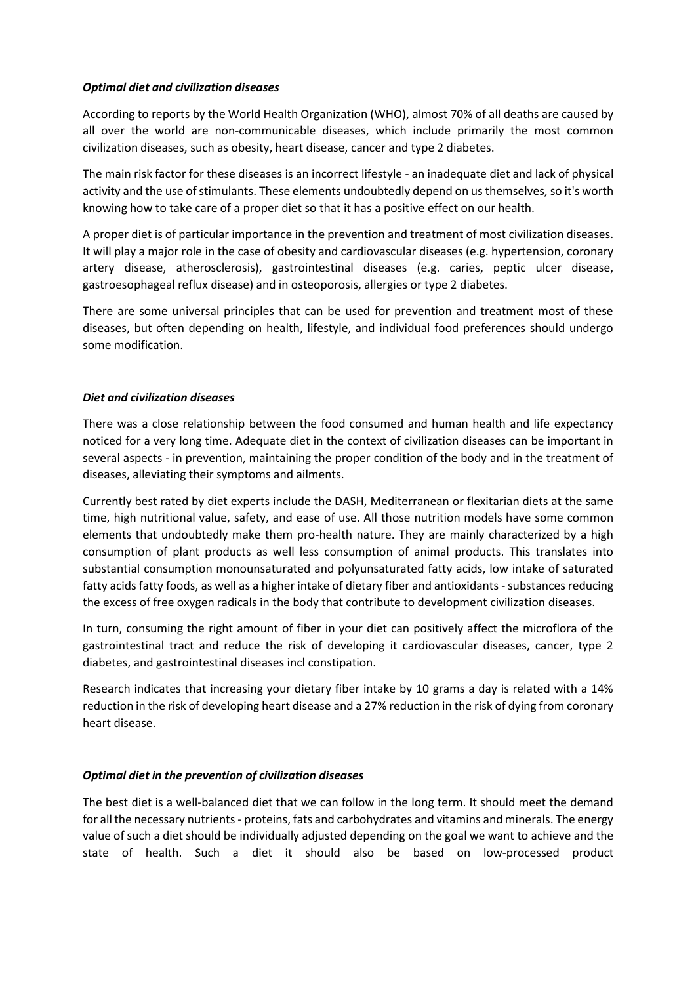## *Optimal diet and civilization diseases*

According to reports by the World Health Organization (WHO), almost 70% of all deaths are caused by all over the world are non-communicable diseases, which include primarily the most common civilization diseases, such as obesity, heart disease, cancer and type 2 diabetes.

The main risk factor for these diseases is an incorrect lifestyle - an inadequate diet and lack of physical activity and the use of stimulants. These elements undoubtedly depend on us themselves, so it's worth knowing how to take care of a proper diet so that it has a positive effect on our health.

A proper diet is of particular importance in the prevention and treatment of most civilization diseases. It will play a major role in the case of obesity and cardiovascular diseases (e.g. hypertension, coronary artery disease, atherosclerosis), gastrointestinal diseases (e.g. caries, peptic ulcer disease, gastroesophageal reflux disease) and in osteoporosis, allergies or type 2 diabetes.

There are some universal principles that can be used for prevention and treatment most of these diseases, but often depending on health, lifestyle, and individual food preferences should undergo some modification.

## *Diet and civilization diseases*

There was a close relationship between the food consumed and human health and life expectancy noticed for a very long time. Adequate diet in the context of civilization diseases can be important in several aspects - in prevention, maintaining the proper condition of the body and in the treatment of diseases, alleviating their symptoms and ailments.

Currently best rated by diet experts include the DASH, Mediterranean or flexitarian diets at the same time, high nutritional value, safety, and ease of use. All those nutrition models have some common elements that undoubtedly make them pro-health nature. They are mainly characterized by a high consumption of plant products as well less consumption of animal products. This translates into substantial consumption monounsaturated and polyunsaturated fatty acids, low intake of saturated fatty acids fatty foods, as well as a higher intake of dietary fiber and antioxidants - substances reducing the excess of free oxygen radicals in the body that contribute to development civilization diseases.

In turn, consuming the right amount of fiber in your diet can positively affect the microflora of the gastrointestinal tract and reduce the risk of developing it cardiovascular diseases, cancer, type 2 diabetes, and gastrointestinal diseases incl constipation.

Research indicates that increasing your dietary fiber intake by 10 grams a day is related with a 14% reduction in the risk of developing heart disease and a 27% reduction in the risk of dying from coronary heart disease.

# *Optimal diet in the prevention of civilization diseases*

The best diet is a well-balanced diet that we can follow in the long term. It should meet the demand for all the necessary nutrients - proteins, fats and carbohydrates and vitamins and minerals. The energy value of such a diet should be individually adjusted depending on the goal we want to achieve and the state of health. Such a diet it should also be based on low-processed product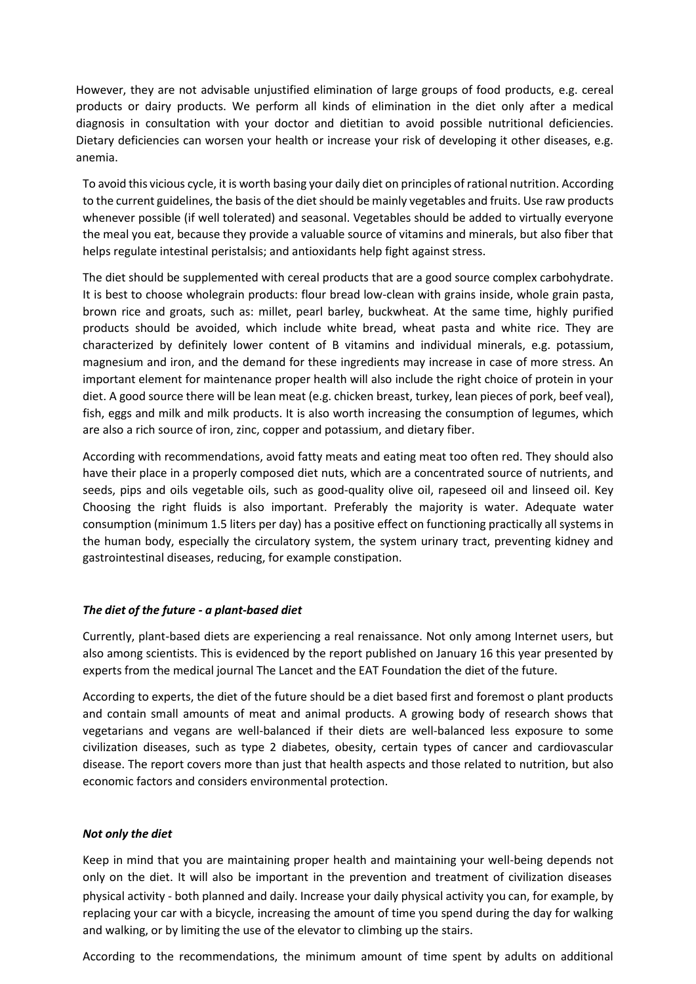However, they are not advisable unjustified elimination of large groups of food products, e.g. cereal products or dairy products. We perform all kinds of elimination in the diet only after a medical diagnosis in consultation with your doctor and dietitian to avoid possible nutritional deficiencies. Dietary deficiencies can worsen your health or increase your risk of developing it other diseases, e.g. anemia.

To avoid this vicious cycle, it is worth basing your daily diet on principles of rational nutrition. According to the current guidelines, the basis of the diet should be mainly vegetables and fruits. Use raw products whenever possible (if well tolerated) and seasonal. Vegetables should be added to virtually everyone the meal you eat, because they provide a valuable source of vitamins and minerals, but also fiber that helps regulate intestinal peristalsis; and antioxidants help fight against stress.

The diet should be supplemented with cereal products that are a good source complex carbohydrate. It is best to choose wholegrain products: flour bread low-clean with grains inside, whole grain pasta, brown rice and groats, such as: millet, pearl barley, buckwheat. At the same time, highly purified products should be avoided, which include white bread, wheat pasta and white rice. They are characterized by definitely lower content of B vitamins and individual minerals, e.g. potassium, magnesium and iron, and the demand for these ingredients may increase in case of more stress. An important element for maintenance proper health will also include the right choice of protein in your diet. A good source there will be lean meat (e.g. chicken breast, turkey, lean pieces of pork, beef veal), fish, eggs and milk and milk products. It is also worth increasing the consumption of legumes, which are also a rich source of iron, zinc, copper and potassium, and dietary fiber.

According with recommendations, avoid fatty meats and eating meat too often red. They should also have their place in a properly composed diet nuts, which are a concentrated source of nutrients, and seeds, pips and oils vegetable oils, such as good-quality olive oil, rapeseed oil and linseed oil. Key Choosing the right fluids is also important. Preferably the majority is water. Adequate water consumption (minimum 1.5 liters per day) has a positive effect on functioning practically all systems in the human body, especially the circulatory system, the system urinary tract, preventing kidney and gastrointestinal diseases, reducing, for example constipation.

### *The diet of the future - a plant-based diet*

Currently, plant-based diets are experiencing a real renaissance. Not only among Internet users, but also among scientists. This is evidenced by the report published on January 16 this year presented by experts from the medical journal The Lancet and the EAT Foundation the diet of the future.

According to experts, the diet of the future should be a diet based first and foremost o plant products and contain small amounts of meat and animal products. A growing body of research shows that vegetarians and vegans are well-balanced if their diets are well-balanced less exposure to some civilization diseases, such as type 2 diabetes, obesity, certain types of cancer and cardiovascular disease. The report covers more than just that health aspects and those related to nutrition, but also economic factors and considers environmental protection.

### *Not only the diet*

Keep in mind that you are maintaining proper health and maintaining your well-being depends not only on the diet. It will also be important in the prevention and treatment of civilization diseases physical activity - both planned and daily. Increase your daily physical activity you can, for example, by replacing your car with a bicycle, increasing the amount of time you spend during the day for walking and walking, or by limiting the use of the elevator to climbing up the stairs.

According to the recommendations, the minimum amount of time spent by adults on additional